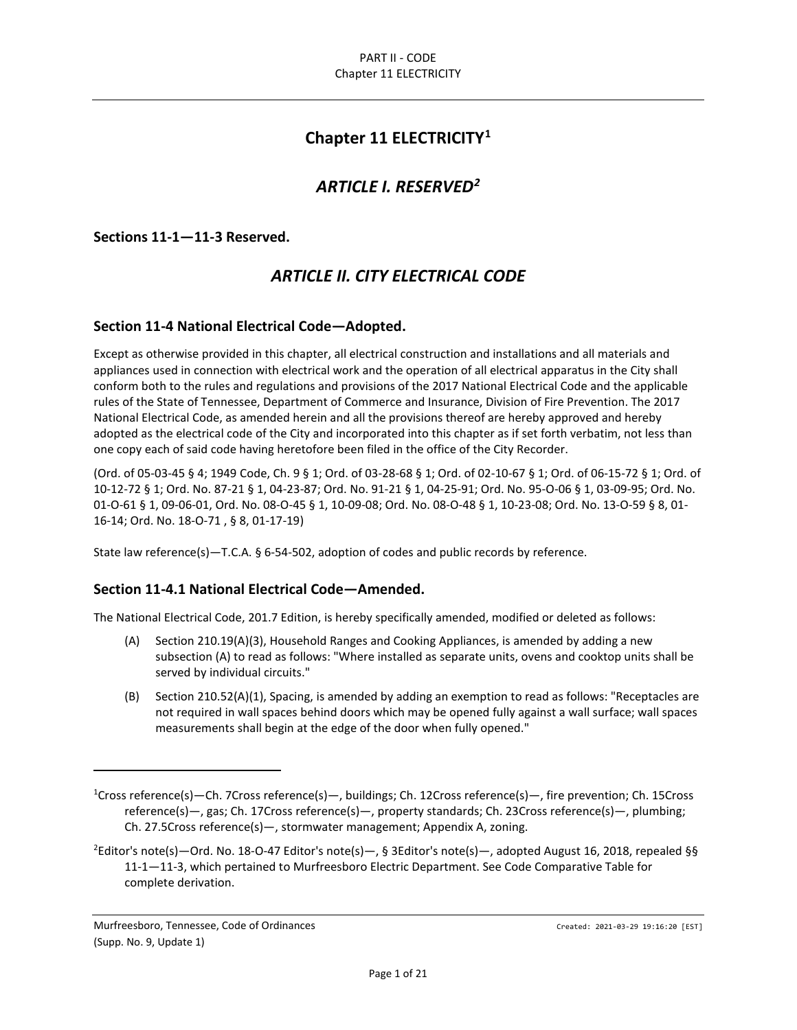# **Chapter 11 ELECTRICITY[1](#page-0-0)**

# *ARTICLE I. RESERVED[2](#page-0-1)*

**Sections 11-1—11-3 Reserved.**

# *ARTICLE II. CITY ELECTRICAL CODE*

## **Section 11-4 National Electrical Code—Adopted.**

Except as otherwise provided in this chapter, all electrical construction and installations and all materials and appliances used in connection with electrical work and the operation of all electrical apparatus in the City shall conform both to the rules and regulations and provisions of the 2017 National Electrical Code and the applicable rules of the State of Tennessee, Department of Commerce and Insurance, Division of Fire Prevention. The 2017 National Electrical Code, as amended herein and all the provisions thereof are hereby approved and hereby adopted as the electrical code of the City and incorporated into this chapter as if set forth verbatim, not less than one copy each of said code having heretofore been filed in the office of the City Recorder.

(Ord. of 05-03-45 § 4; 1949 Code, Ch. 9 § 1; Ord. of 03-28-68 § 1; Ord. of 02-10-67 § 1; Ord. of 06-15-72 § 1; Ord. of 10-12-72 § 1; Ord. No. 87-21 § 1, 04-23-87; Ord. No. 91-21 § 1, 04-25-91; Ord. No. 95-O-06 § 1, 03-09-95; Ord. No. 01-O-61 § 1, 09-06-01, Ord. No. 08-O-45 § 1, 10-09-08; Ord. No. 08-O-48 § 1, 10-23-08; Ord. No. 13-O-59 § 8, 01- 16-14; Ord. No. 18-O-71 , § 8, 01-17-19)

State law reference(s)—T.C.A. § 6-54-502, adoption of codes and public records by reference.

#### **Section 11-4.1 National Electrical Code—Amended.**

The National Electrical Code, 201.7 Edition, is hereby specifically amended, modified or deleted as follows:

- (A) Section 210.19(A)(3), Household Ranges and Cooking Appliances, is amended by adding a new subsection (A) to read as follows: "Where installed as separate units, ovens and cooktop units shall be served by individual circuits."
- (B) Section 210.52(A)(1), Spacing, is amended by adding an exemption to read as follows: "Receptacles are not required in wall spaces behind doors which may be opened fully against a wall surface; wall spaces measurements shall begin at the edge of the door when fully opened."

<span id="page-0-0"></span><sup>1</sup> Cross reference(s)—Ch. 7Cross reference(s)—, buildings; Ch. 12Cross reference(s)—, fire prevention; Ch. 15Cross reference(s)—, gas; Ch. 17Cross reference(s)—, property standards; Ch. 23Cross reference(s)—, plumbing; Ch. 27.5Cross reference(s)—, stormwater management; Appendix A, zoning.

<span id="page-0-1"></span><sup>2</sup> Editor's note(s)—Ord. No. 18-O-47 Editor's note(s)—, § 3Editor's note(s)—, adopted August 16, 2018, repealed §§ 11-1—11-3, which pertained to Murfreesboro Electric Department. See Code Comparative Table for complete derivation.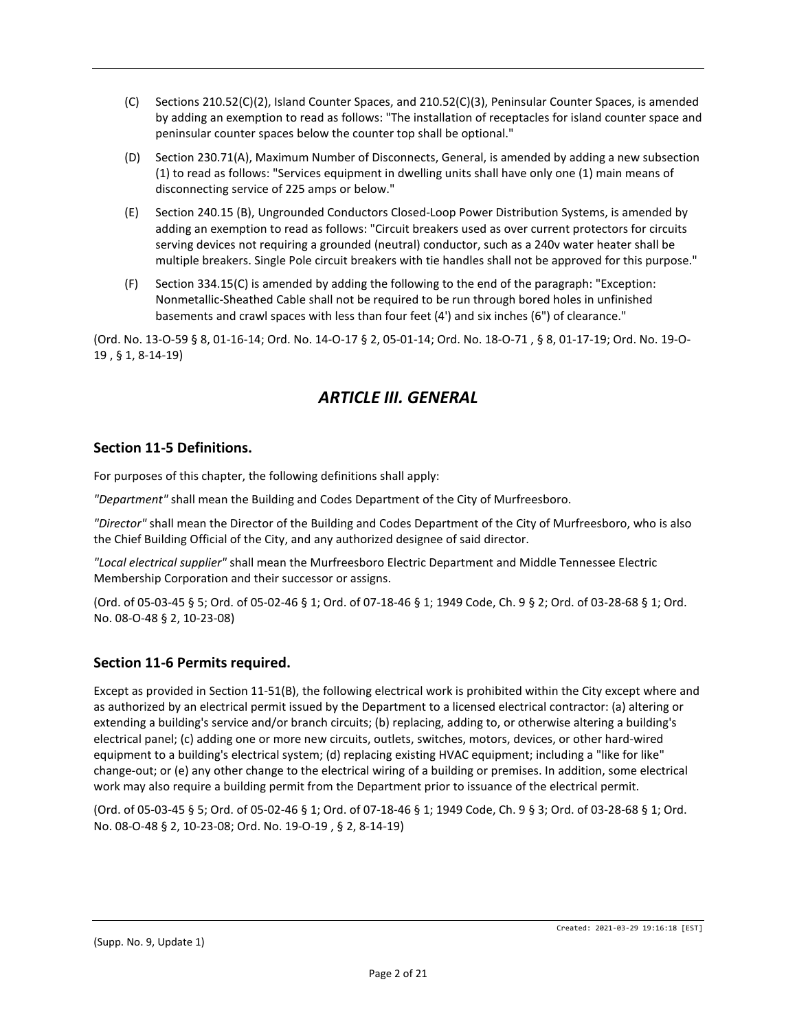- (C) Sections 210.52(C)(2), Island Counter Spaces, and 210.52(C)(3), Peninsular Counter Spaces, is amended by adding an exemption to read as follows: "The installation of receptacles for island counter space and peninsular counter spaces below the counter top shall be optional."
- (D) Section 230.71(A), Maximum Number of Disconnects, General, is amended by adding a new subsection (1) to read as follows: "Services equipment in dwelling units shall have only one (1) main means of disconnecting service of 225 amps or below."
- (E) Section 240.15 (B), Ungrounded Conductors Closed-Loop Power Distribution Systems, is amended by adding an exemption to read as follows: "Circuit breakers used as over current protectors for circuits serving devices not requiring a grounded (neutral) conductor, such as a 240v water heater shall be multiple breakers. Single Pole circuit breakers with tie handles shall not be approved for this purpose."
- (F) Section 334.15(C) is amended by adding the following to the end of the paragraph: "Exception: Nonmetallic-Sheathed Cable shall not be required to be run through bored holes in unfinished basements and crawl spaces with less than four feet (4') and six inches (6") of clearance."

(Ord. No. 13-O-59 § 8, 01-16-14; Ord. No. 14-O-17 § 2, 05-01-14; Ord. No. 18-O-71 , § 8, 01-17-19; Ord. No. 19-O-19 , § 1, 8-14-19)

# *ARTICLE III. GENERAL*

## **Section 11-5 Definitions.**

For purposes of this chapter, the following definitions shall apply:

*"Department"* shall mean the Building and Codes Department of the City of Murfreesboro.

*"Director"* shall mean the Director of the Building and Codes Department of the City of Murfreesboro, who is also the Chief Building Official of the City, and any authorized designee of said director.

*"Local electrical supplier"* shall mean the Murfreesboro Electric Department and Middle Tennessee Electric Membership Corporation and their successor or assigns.

(Ord. of 05-03-45 § 5; Ord. of 05-02-46 § 1; Ord. of 07-18-46 § 1; 1949 Code, Ch. 9 § 2; Ord. of 03-28-68 § 1; Ord. No. 08-O-48 § 2, 10-23-08)

# **Section 11-6 Permits required.**

Except as provided in Section 11-51(B), the following electrical work is prohibited within the City except where and as authorized by an electrical permit issued by the Department to a licensed electrical contractor: (a) altering or extending a building's service and/or branch circuits; (b) replacing, adding to, or otherwise altering a building's electrical panel; (c) adding one or more new circuits, outlets, switches, motors, devices, or other hard-wired equipment to a building's electrical system; (d) replacing existing HVAC equipment; including a "like for like" change-out; or (e) any other change to the electrical wiring of a building or premises. In addition, some electrical work may also require a building permit from the Department prior to issuance of the electrical permit.

(Ord. of 05-03-45 § 5; Ord. of 05-02-46 § 1; Ord. of 07-18-46 § 1; 1949 Code, Ch. 9 § 3; Ord. of 03-28-68 § 1; Ord. No. 08-O-48 § 2, 10-23-08; Ord. No. 19-O-19 , § 2, 8-14-19)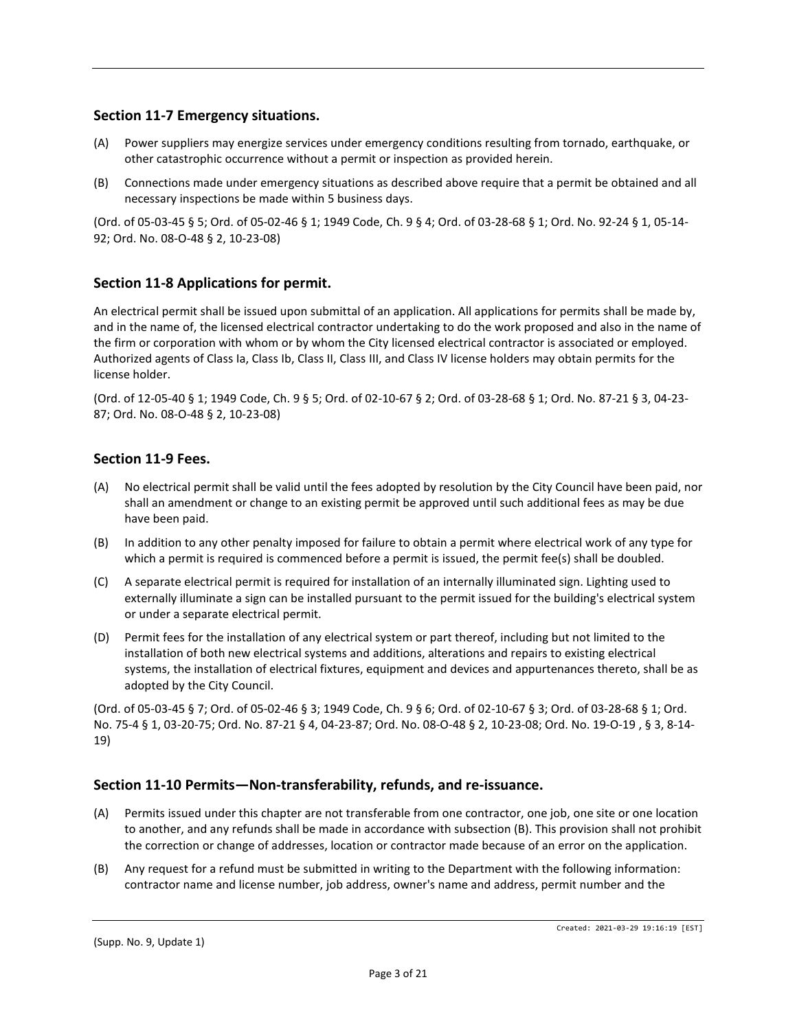## **Section 11-7 Emergency situations.**

- (A) Power suppliers may energize services under emergency conditions resulting from tornado, earthquake, or other catastrophic occurrence without a permit or inspection as provided herein.
- (B) Connections made under emergency situations as described above require that a permit be obtained and all necessary inspections be made within 5 business days.

(Ord. of 05-03-45 § 5; Ord. of 05-02-46 § 1; 1949 Code, Ch. 9 § 4; Ord. of 03-28-68 § 1; Ord. No. 92-24 § 1, 05-14- 92; Ord. No. 08-O-48 § 2, 10-23-08)

## **Section 11-8 Applications for permit.**

An electrical permit shall be issued upon submittal of an application. All applications for permits shall be made by, and in the name of, the licensed electrical contractor undertaking to do the work proposed and also in the name of the firm or corporation with whom or by whom the City licensed electrical contractor is associated or employed. Authorized agents of Class Ia, Class Ib, Class II, Class III, and Class IV license holders may obtain permits for the license holder.

(Ord. of 12-05-40 § 1; 1949 Code, Ch. 9 § 5; Ord. of 02-10-67 § 2; Ord. of 03-28-68 § 1; Ord. No. 87-21 § 3, 04-23- 87; Ord. No. 08-O-48 § 2, 10-23-08)

## **Section 11-9 Fees.**

- (A) No electrical permit shall be valid until the fees adopted by resolution by the City Council have been paid, nor shall an amendment or change to an existing permit be approved until such additional fees as may be due have been paid.
- (B) In addition to any other penalty imposed for failure to obtain a permit where electrical work of any type for which a permit is required is commenced before a permit is issued, the permit fee(s) shall be doubled.
- (C) A separate electrical permit is required for installation of an internally illuminated sign. Lighting used to externally illuminate a sign can be installed pursuant to the permit issued for the building's electrical system or under a separate electrical permit.
- (D) Permit fees for the installation of any electrical system or part thereof, including but not limited to the installation of both new electrical systems and additions, alterations and repairs to existing electrical systems, the installation of electrical fixtures, equipment and devices and appurtenances thereto, shall be as adopted by the City Council.

(Ord. of 05-03-45 § 7; Ord. of 05-02-46 § 3; 1949 Code, Ch. 9 § 6; Ord. of 02-10-67 § 3; Ord. of 03-28-68 § 1; Ord. No. 75-4 § 1, 03-20-75; Ord. No. 87-21 § 4, 04-23-87; Ord. No. 08-O-48 § 2, 10-23-08; Ord. No. 19-O-19 , § 3, 8-14- 19)

#### **Section 11-10 Permits—Non-transferability, refunds, and re-issuance.**

- (A) Permits issued under this chapter are not transferable from one contractor, one job, one site or one location to another, and any refunds shall be made in accordance with subsection (B). This provision shall not prohibit the correction or change of addresses, location or contractor made because of an error on the application.
- (B) Any request for a refund must be submitted in writing to the Department with the following information: contractor name and license number, job address, owner's name and address, permit number and the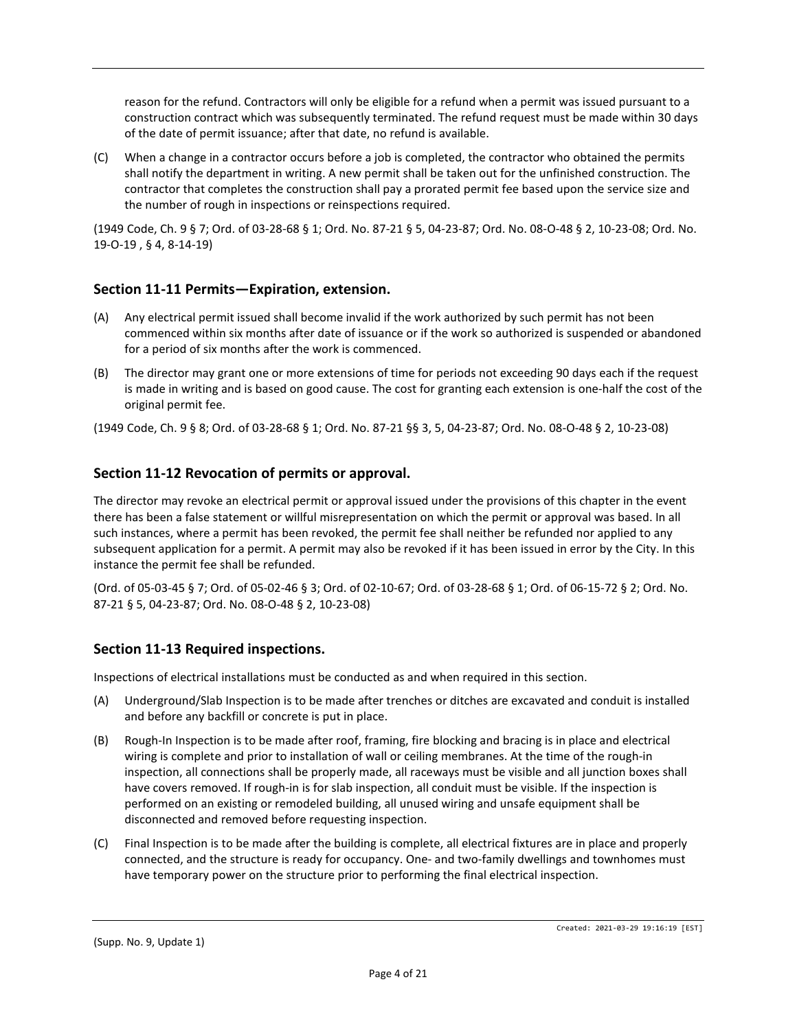reason for the refund. Contractors will only be eligible for a refund when a permit was issued pursuant to a construction contract which was subsequently terminated. The refund request must be made within 30 days of the date of permit issuance; after that date, no refund is available.

(C) When a change in a contractor occurs before a job is completed, the contractor who obtained the permits shall notify the department in writing. A new permit shall be taken out for the unfinished construction. The contractor that completes the construction shall pay a prorated permit fee based upon the service size and the number of rough in inspections or reinspections required.

(1949 Code, Ch. 9 § 7; Ord. of 03-28-68 § 1; Ord. No. 87-21 § 5, 04-23-87; Ord. No. 08-O-48 § 2, 10-23-08; Ord. No. 19-O-19 , § 4, 8-14-19)

## **Section 11-11 Permits—Expiration, extension.**

- (A) Any electrical permit issued shall become invalid if the work authorized by such permit has not been commenced within six months after date of issuance or if the work so authorized is suspended or abandoned for a period of six months after the work is commenced.
- (B) The director may grant one or more extensions of time for periods not exceeding 90 days each if the request is made in writing and is based on good cause. The cost for granting each extension is one-half the cost of the original permit fee.

(1949 Code, Ch. 9 § 8; Ord. of 03-28-68 § 1; Ord. No. 87-21 §§ 3, 5, 04-23-87; Ord. No. 08-O-48 § 2, 10-23-08)

## **Section 11-12 Revocation of permits or approval.**

The director may revoke an electrical permit or approval issued under the provisions of this chapter in the event there has been a false statement or willful misrepresentation on which the permit or approval was based. In all such instances, where a permit has been revoked, the permit fee shall neither be refunded nor applied to any subsequent application for a permit. A permit may also be revoked if it has been issued in error by the City. In this instance the permit fee shall be refunded.

(Ord. of 05-03-45 § 7; Ord. of 05-02-46 § 3; Ord. of 02-10-67; Ord. of 03-28-68 § 1; Ord. of 06-15-72 § 2; Ord. No. 87-21 § 5, 04-23-87; Ord. No. 08-O-48 § 2, 10-23-08)

#### **Section 11-13 Required inspections.**

Inspections of electrical installations must be conducted as and when required in this section.

- (A) Underground/Slab Inspection is to be made after trenches or ditches are excavated and conduit is installed and before any backfill or concrete is put in place.
- (B) Rough-In Inspection is to be made after roof, framing, fire blocking and bracing is in place and electrical wiring is complete and prior to installation of wall or ceiling membranes. At the time of the rough-in inspection, all connections shall be properly made, all raceways must be visible and all junction boxes shall have covers removed. If rough-in is for slab inspection, all conduit must be visible. If the inspection is performed on an existing or remodeled building, all unused wiring and unsafe equipment shall be disconnected and removed before requesting inspection.
- (C) Final Inspection is to be made after the building is complete, all electrical fixtures are in place and properly connected, and the structure is ready for occupancy. One- and two-family dwellings and townhomes must have temporary power on the structure prior to performing the final electrical inspection.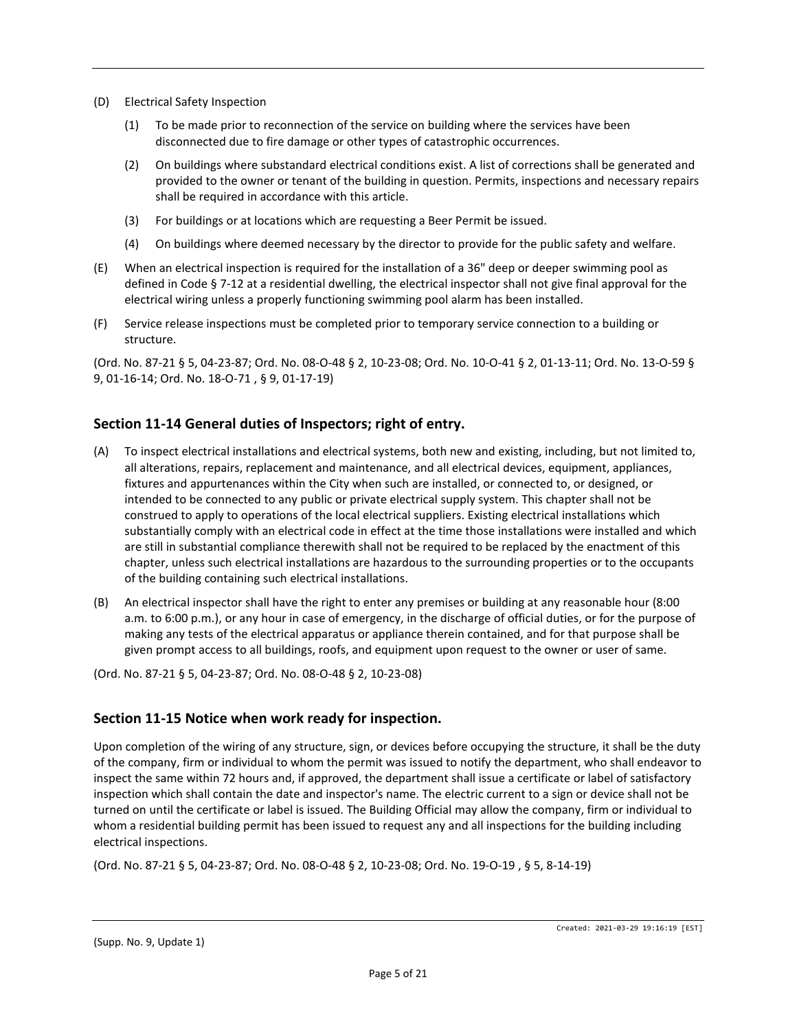- (D) Electrical Safety Inspection
	- (1) To be made prior to reconnection of the service on building where the services have been disconnected due to fire damage or other types of catastrophic occurrences.
	- (2) On buildings where substandard electrical conditions exist. A list of corrections shall be generated and provided to the owner or tenant of the building in question. Permits, inspections and necessary repairs shall be required in accordance with this article.
	- (3) For buildings or at locations which are requesting a Beer Permit be issued.
	- (4) On buildings where deemed necessary by the director to provide for the public safety and welfare.
- (E) When an electrical inspection is required for the installation of a 36" deep or deeper swimming pool as defined in Code § 7-12 at a residential dwelling, the electrical inspector shall not give final approval for the electrical wiring unless a properly functioning swimming pool alarm has been installed.
- (F) Service release inspections must be completed prior to temporary service connection to a building or structure.

(Ord. No. 87-21 § 5, 04-23-87; Ord. No. 08-O-48 § 2, 10-23-08; Ord. No. 10-O-41 § 2, 01-13-11; Ord. No. 13-O-59 § 9, 01-16-14; Ord. No. 18-O-71 , § 9, 01-17-19)

#### **Section 11-14 General duties of Inspectors; right of entry.**

- (A) To inspect electrical installations and electrical systems, both new and existing, including, but not limited to, all alterations, repairs, replacement and maintenance, and all electrical devices, equipment, appliances, fixtures and appurtenances within the City when such are installed, or connected to, or designed, or intended to be connected to any public or private electrical supply system. This chapter shall not be construed to apply to operations of the local electrical suppliers. Existing electrical installations which substantially comply with an electrical code in effect at the time those installations were installed and which are still in substantial compliance therewith shall not be required to be replaced by the enactment of this chapter, unless such electrical installations are hazardous to the surrounding properties or to the occupants of the building containing such electrical installations.
- (B) An electrical inspector shall have the right to enter any premises or building at any reasonable hour (8:00 a.m. to 6:00 p.m.), or any hour in case of emergency, in the discharge of official duties, or for the purpose of making any tests of the electrical apparatus or appliance therein contained, and for that purpose shall be given prompt access to all buildings, roofs, and equipment upon request to the owner or user of same.

(Ord. No. 87-21 § 5, 04-23-87; Ord. No. 08-O-48 § 2, 10-23-08)

#### **Section 11-15 Notice when work ready for inspection.**

Upon completion of the wiring of any structure, sign, or devices before occupying the structure, it shall be the duty of the company, firm or individual to whom the permit was issued to notify the department, who shall endeavor to inspect the same within 72 hours and, if approved, the department shall issue a certificate or label of satisfactory inspection which shall contain the date and inspector's name. The electric current to a sign or device shall not be turned on until the certificate or label is issued. The Building Official may allow the company, firm or individual to whom a residential building permit has been issued to request any and all inspections for the building including electrical inspections.

(Ord. No. 87-21 § 5, 04-23-87; Ord. No. 08-O-48 § 2, 10-23-08; Ord. No. 19-O-19 , § 5, 8-14-19)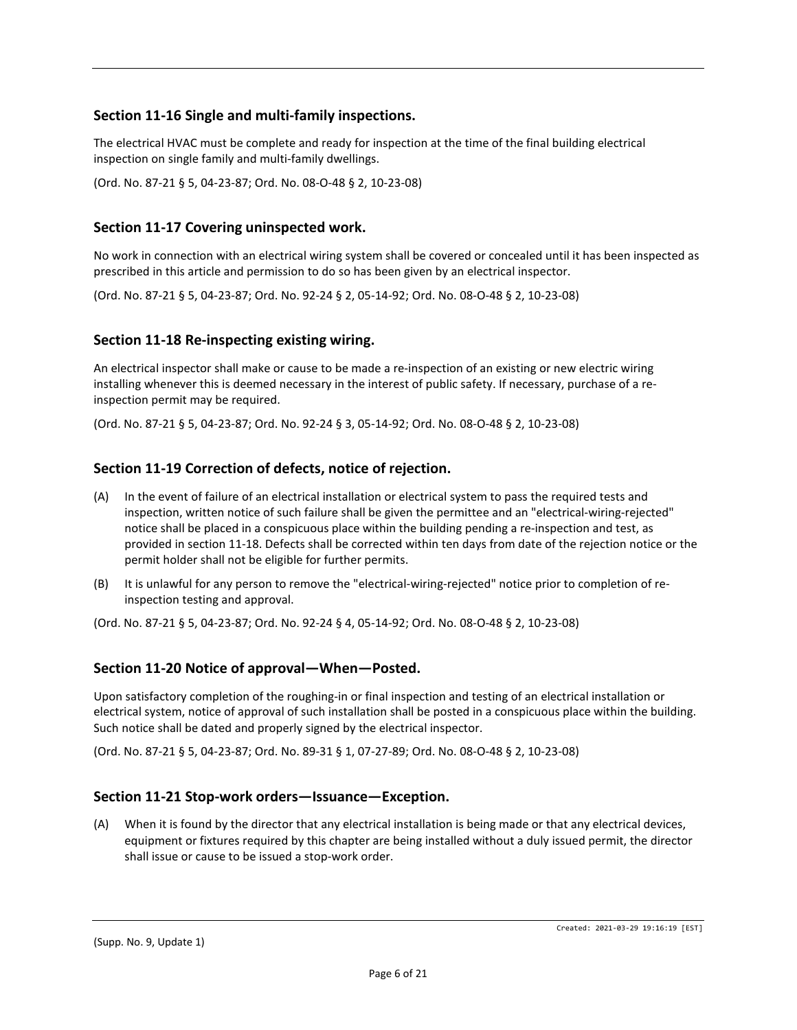## **Section 11-16 Single and multi-family inspections.**

The electrical HVAC must be complete and ready for inspection at the time of the final building electrical inspection on single family and multi-family dwellings.

(Ord. No. 87-21 § 5, 04-23-87; Ord. No. 08-O-48 § 2, 10-23-08)

### **Section 11-17 Covering uninspected work.**

No work in connection with an electrical wiring system shall be covered or concealed until it has been inspected as prescribed in this article and permission to do so has been given by an electrical inspector.

(Ord. No. 87-21 § 5, 04-23-87; Ord. No. 92-24 § 2, 05-14-92; Ord. No. 08-O-48 § 2, 10-23-08)

#### **Section 11-18 Re-inspecting existing wiring.**

An electrical inspector shall make or cause to be made a re-inspection of an existing or new electric wiring installing whenever this is deemed necessary in the interest of public safety. If necessary, purchase of a reinspection permit may be required.

(Ord. No. 87-21 § 5, 04-23-87; Ord. No. 92-24 § 3, 05-14-92; Ord. No. 08-O-48 § 2, 10-23-08)

#### **Section 11-19 Correction of defects, notice of rejection.**

- (A) In the event of failure of an electrical installation or electrical system to pass the required tests and inspection, written notice of such failure shall be given the permittee and an "electrical-wiring-rejected" notice shall be placed in a conspicuous place within the building pending a re-inspection and test, as provided in section 11-18. Defects shall be corrected within ten days from date of the rejection notice or the permit holder shall not be eligible for further permits.
- (B) It is unlawful for any person to remove the "electrical-wiring-rejected" notice prior to completion of reinspection testing and approval.

(Ord. No. 87-21 § 5, 04-23-87; Ord. No. 92-24 § 4, 05-14-92; Ord. No. 08-O-48 § 2, 10-23-08)

#### **Section 11-20 Notice of approval—When—Posted.**

Upon satisfactory completion of the roughing-in or final inspection and testing of an electrical installation or electrical system, notice of approval of such installation shall be posted in a conspicuous place within the building. Such notice shall be dated and properly signed by the electrical inspector.

(Ord. No. 87-21 § 5, 04-23-87; Ord. No. 89-31 § 1, 07-27-89; Ord. No. 08-O-48 § 2, 10-23-08)

#### **Section 11-21 Stop-work orders—Issuance—Exception.**

(A) When it is found by the director that any electrical installation is being made or that any electrical devices, equipment or fixtures required by this chapter are being installed without a duly issued permit, the director shall issue or cause to be issued a stop-work order.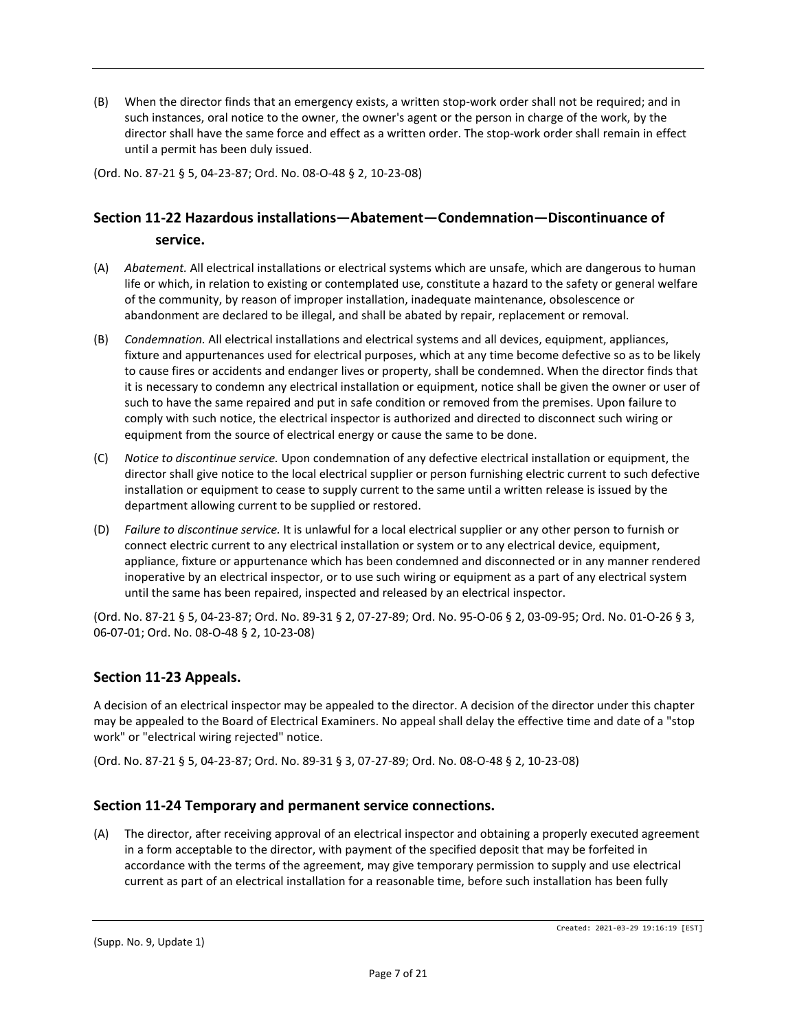(B) When the director finds that an emergency exists, a written stop-work order shall not be required; and in such instances, oral notice to the owner, the owner's agent or the person in charge of the work, by the director shall have the same force and effect as a written order. The stop-work order shall remain in effect until a permit has been duly issued.

(Ord. No. 87-21 § 5, 04-23-87; Ord. No. 08-O-48 § 2, 10-23-08)

# **Section 11-22 Hazardous installations—Abatement—Condemnation—Discontinuance of service.**

- (A) *Abatement.* All electrical installations or electrical systems which are unsafe, which are dangerous to human life or which, in relation to existing or contemplated use, constitute a hazard to the safety or general welfare of the community, by reason of improper installation, inadequate maintenance, obsolescence or abandonment are declared to be illegal, and shall be abated by repair, replacement or removal.
- (B) *Condemnation.* All electrical installations and electrical systems and all devices, equipment, appliances, fixture and appurtenances used for electrical purposes, which at any time become defective so as to be likely to cause fires or accidents and endanger lives or property, shall be condemned. When the director finds that it is necessary to condemn any electrical installation or equipment, notice shall be given the owner or user of such to have the same repaired and put in safe condition or removed from the premises. Upon failure to comply with such notice, the electrical inspector is authorized and directed to disconnect such wiring or equipment from the source of electrical energy or cause the same to be done.
- (C) *Notice to discontinue service.* Upon condemnation of any defective electrical installation or equipment, the director shall give notice to the local electrical supplier or person furnishing electric current to such defective installation or equipment to cease to supply current to the same until a written release is issued by the department allowing current to be supplied or restored.
- (D) *Failure to discontinue service.* It is unlawful for a local electrical supplier or any other person to furnish or connect electric current to any electrical installation or system or to any electrical device, equipment, appliance, fixture or appurtenance which has been condemned and disconnected or in any manner rendered inoperative by an electrical inspector, or to use such wiring or equipment as a part of any electrical system until the same has been repaired, inspected and released by an electrical inspector.

(Ord. No. 87-21 § 5, 04-23-87; Ord. No. 89-31 § 2, 07-27-89; Ord. No. 95-O-06 § 2, 03-09-95; Ord. No. 01-O-26 § 3, 06-07-01; Ord. No. 08-O-48 § 2, 10-23-08)

# **Section 11-23 Appeals.**

A decision of an electrical inspector may be appealed to the director. A decision of the director under this chapter may be appealed to the Board of Electrical Examiners. No appeal shall delay the effective time and date of a "stop work" or "electrical wiring rejected" notice.

(Ord. No. 87-21 § 5, 04-23-87; Ord. No. 89-31 § 3, 07-27-89; Ord. No. 08-O-48 § 2, 10-23-08)

#### **Section 11-24 Temporary and permanent service connections.**

(A) The director, after receiving approval of an electrical inspector and obtaining a properly executed agreement in a form acceptable to the director, with payment of the specified deposit that may be forfeited in accordance with the terms of the agreement, may give temporary permission to supply and use electrical current as part of an electrical installation for a reasonable time, before such installation has been fully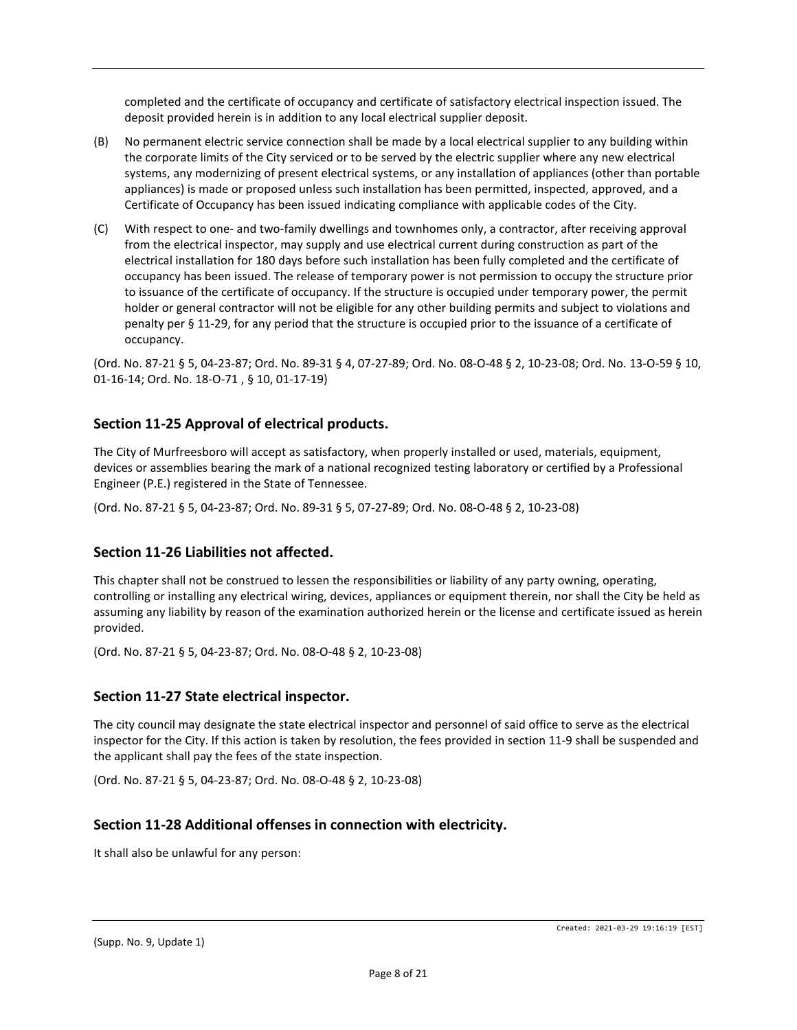completed and the certificate of occupancy and certificate of satisfactory electrical inspection issued. The deposit provided herein is in addition to any local electrical supplier deposit.

- (B) No permanent electric service connection shall be made by a local electrical supplier to any building within the corporate limits of the City serviced or to be served by the electric supplier where any new electrical systems, any modernizing of present electrical systems, or any installation of appliances (other than portable appliances) is made or proposed unless such installation has been permitted, inspected, approved, and a Certificate of Occupancy has been issued indicating compliance with applicable codes of the City.
- (C) With respect to one- and two-family dwellings and townhomes only, a contractor, after receiving approval from the electrical inspector, may supply and use electrical current during construction as part of the electrical installation for 180 days before such installation has been fully completed and the certificate of occupancy has been issued. The release of temporary power is not permission to occupy the structure prior to issuance of the certificate of occupancy. If the structure is occupied under temporary power, the permit holder or general contractor will not be eligible for any other building permits and subject to violations and penalty per § 11-29, for any period that the structure is occupied prior to the issuance of a certificate of occupancy.

(Ord. No. 87-21 § 5, 04-23-87; Ord. No. 89-31 § 4, 07-27-89; Ord. No. 08-O-48 § 2, 10-23-08; Ord. No. 13-O-59 § 10, 01-16-14; Ord. No. 18-O-71 , § 10, 01-17-19)

## **Section 11-25 Approval of electrical products.**

The City of Murfreesboro will accept as satisfactory, when properly installed or used, materials, equipment, devices or assemblies bearing the mark of a national recognized testing laboratory or certified by a Professional Engineer (P.E.) registered in the State of Tennessee.

(Ord. No. 87-21 § 5, 04-23-87; Ord. No. 89-31 § 5, 07-27-89; Ord. No. 08-O-48 § 2, 10-23-08)

#### **Section 11-26 Liabilities not affected.**

This chapter shall not be construed to lessen the responsibilities or liability of any party owning, operating, controlling or installing any electrical wiring, devices, appliances or equipment therein, nor shall the City be held as assuming any liability by reason of the examination authorized herein or the license and certificate issued as herein provided.

(Ord. No. 87-21 § 5, 04-23-87; Ord. No. 08-O-48 § 2, 10-23-08)

#### **Section 11-27 State electrical inspector.**

The city council may designate the state electrical inspector and personnel of said office to serve as the electrical inspector for the City. If this action is taken by resolution, the fees provided in section 11-9 shall be suspended and the applicant shall pay the fees of the state inspection.

(Ord. No. 87-21 § 5, 04-23-87; Ord. No. 08-O-48 § 2, 10-23-08)

#### **Section 11-28 Additional offenses in connection with electricity.**

It shall also be unlawful for any person: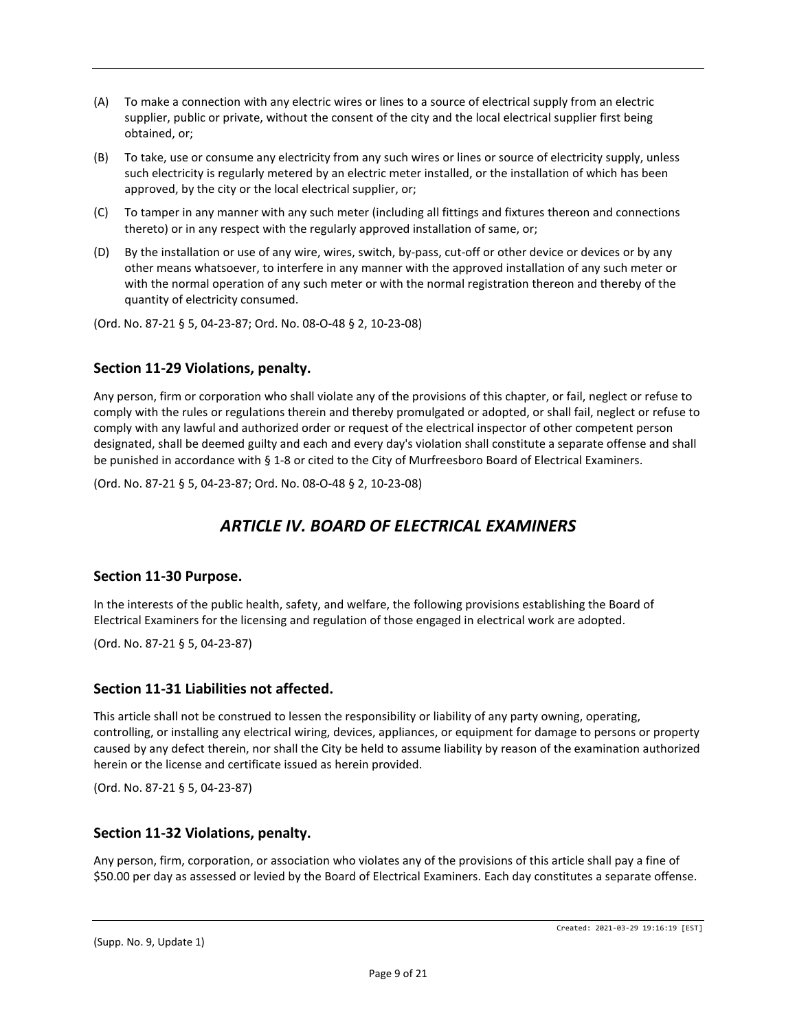- (A) To make a connection with any electric wires or lines to a source of electrical supply from an electric supplier, public or private, without the consent of the city and the local electrical supplier first being obtained, or;
- (B) To take, use or consume any electricity from any such wires or lines or source of electricity supply, unless such electricity is regularly metered by an electric meter installed, or the installation of which has been approved, by the city or the local electrical supplier, or;
- (C) To tamper in any manner with any such meter (including all fittings and fixtures thereon and connections thereto) or in any respect with the regularly approved installation of same, or;
- (D) By the installation or use of any wire, wires, switch, by-pass, cut-off or other device or devices or by any other means whatsoever, to interfere in any manner with the approved installation of any such meter or with the normal operation of any such meter or with the normal registration thereon and thereby of the quantity of electricity consumed.

(Ord. No. 87-21 § 5, 04-23-87; Ord. No. 08-O-48 § 2, 10-23-08)

#### **Section 11-29 Violations, penalty.**

Any person, firm or corporation who shall violate any of the provisions of this chapter, or fail, neglect or refuse to comply with the rules or regulations therein and thereby promulgated or adopted, or shall fail, neglect or refuse to comply with any lawful and authorized order or request of the electrical inspector of other competent person designated, shall be deemed guilty and each and every day's violation shall constitute a separate offense and shall be punished in accordance with § 1-8 or cited to the City of Murfreesboro Board of Electrical Examiners.

(Ord. No. 87-21 § 5, 04-23-87; Ord. No. 08-O-48 § 2, 10-23-08)

# *ARTICLE IV. BOARD OF ELECTRICAL EXAMINERS*

#### **Section 11-30 Purpose.**

In the interests of the public health, safety, and welfare, the following provisions establishing the Board of Electrical Examiners for the licensing and regulation of those engaged in electrical work are adopted.

(Ord. No. 87-21 § 5, 04-23-87)

#### **Section 11-31 Liabilities not affected.**

This article shall not be construed to lessen the responsibility or liability of any party owning, operating, controlling, or installing any electrical wiring, devices, appliances, or equipment for damage to persons or property caused by any defect therein, nor shall the City be held to assume liability by reason of the examination authorized herein or the license and certificate issued as herein provided.

(Ord. No. 87-21 § 5, 04-23-87)

### **Section 11-32 Violations, penalty.**

Any person, firm, corporation, or association who violates any of the provisions of this article shall pay a fine of \$50.00 per day as assessed or levied by the Board of Electrical Examiners. Each day constitutes a separate offense.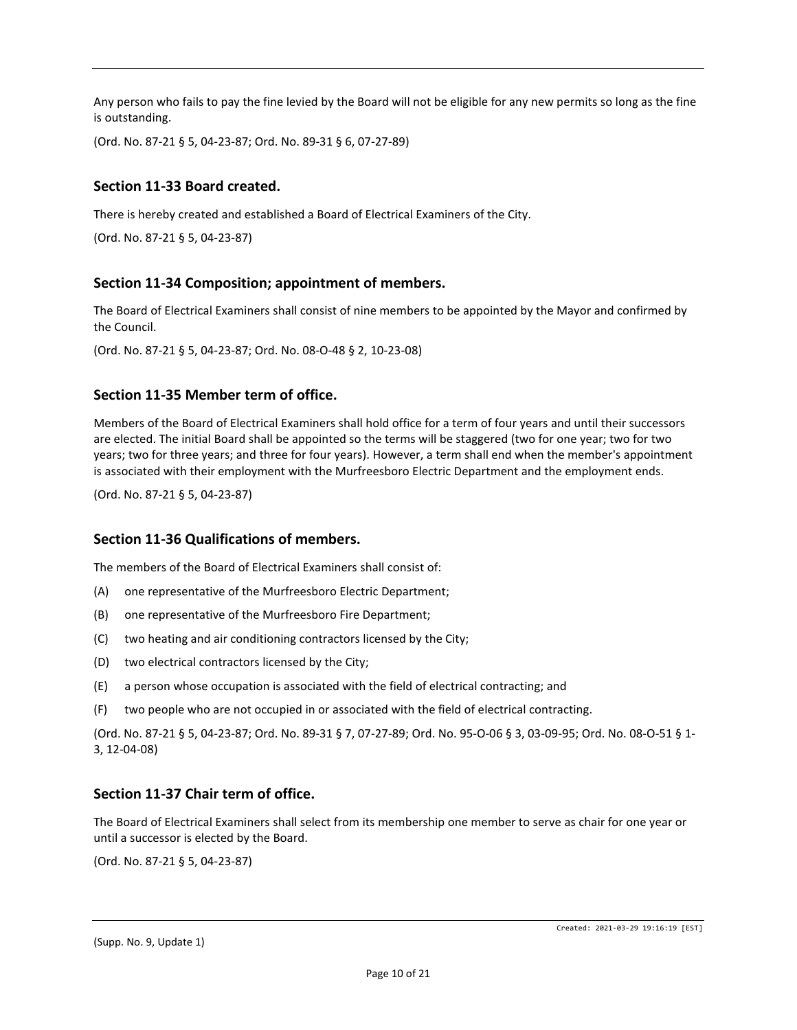Any person who fails to pay the fine levied by the Board will not be eligible for any new permits so long as the fine is outstanding.

(Ord. No. 87-21 § 5, 04-23-87; Ord. No. 89-31 § 6, 07-27-89)

## **Section 11-33 Board created.**

There is hereby created and established a Board of Electrical Examiners of the City.

(Ord. No. 87-21 § 5, 04-23-87)

#### **Section 11-34 Composition; appointment of members.**

The Board of Electrical Examiners shall consist of nine members to be appointed by the Mayor and confirmed by the Council.

(Ord. No. 87-21 § 5, 04-23-87; Ord. No. 08-O-48 § 2, 10-23-08)

#### **Section 11-35 Member term of office.**

Members of the Board of Electrical Examiners shall hold office for a term of four years and until their successors are elected. The initial Board shall be appointed so the terms will be staggered (two for one year; two for two years; two for three years; and three for four years). However, a term shall end when the member's appointment is associated with their employment with the Murfreesboro Electric Department and the employment ends.

(Ord. No. 87-21 § 5, 04-23-87)

#### **Section 11-36 Qualifications of members.**

The members of the Board of Electrical Examiners shall consist of:

- (A) one representative of the Murfreesboro Electric Department;
- (B) one representative of the Murfreesboro Fire Department;
- (C) two heating and air conditioning contractors licensed by the City;
- (D) two electrical contractors licensed by the City;
- (E) a person whose occupation is associated with the field of electrical contracting; and
- (F) two people who are not occupied in or associated with the field of electrical contracting.

(Ord. No. 87-21 § 5, 04-23-87; Ord. No. 89-31 § 7, 07-27-89; Ord. No. 95-O-06 § 3, 03-09-95; Ord. No. 08-O-51 § 1- 3, 12-04-08)

#### **Section 11-37 Chair term of office.**

The Board of Electrical Examiners shall select from its membership one member to serve as chair for one year or until a successor is elected by the Board.

(Ord. No. 87-21 § 5, 04-23-87)

Created: 2021-03-29 19:16:19 [EST]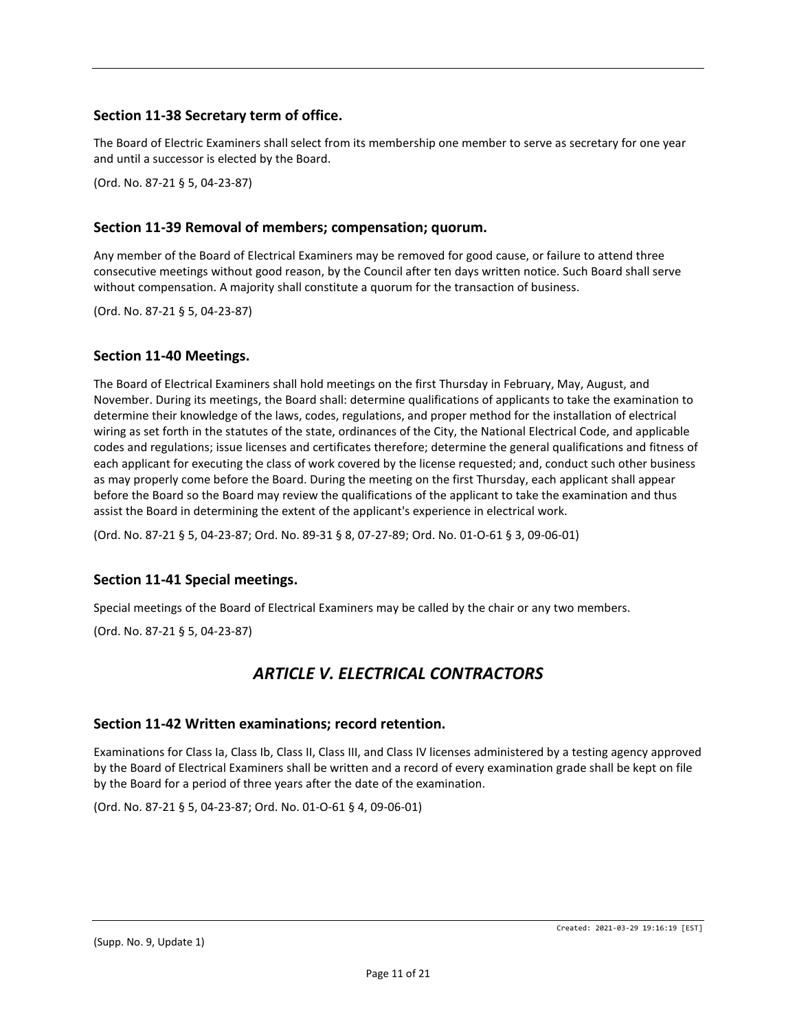# **Section 11-38 Secretary term of office.**

The Board of Electric Examiners shall select from its membership one member to serve as secretary for one year and until a successor is elected by the Board.

(Ord. No. 87-21 § 5, 04-23-87)

## **Section 11-39 Removal of members; compensation; quorum.**

Any member of the Board of Electrical Examiners may be removed for good cause, or failure to attend three consecutive meetings without good reason, by the Council after ten days written notice. Such Board shall serve without compensation. A majority shall constitute a quorum for the transaction of business.

(Ord. No. 87-21 § 5, 04-23-87)

#### **Section 11-40 Meetings.**

The Board of Electrical Examiners shall hold meetings on the first Thursday in February, May, August, and November. During its meetings, the Board shall: determine qualifications of applicants to take the examination to determine their knowledge of the laws, codes, regulations, and proper method for the installation of electrical wiring as set forth in the statutes of the state, ordinances of the City, the National Electrical Code, and applicable codes and regulations; issue licenses and certificates therefore; determine the general qualifications and fitness of each applicant for executing the class of work covered by the license requested; and, conduct such other business as may properly come before the Board. During the meeting on the first Thursday, each applicant shall appear before the Board so the Board may review the qualifications of the applicant to take the examination and thus assist the Board in determining the extent of the applicant's experience in electrical work.

(Ord. No. 87-21 § 5, 04-23-87; Ord. No. 89-31 § 8, 07-27-89; Ord. No. 01-O-61 § 3, 09-06-01)

# **Section 11-41 Special meetings.**

Special meetings of the Board of Electrical Examiners may be called by the chair or any two members.

(Ord. No. 87-21 § 5, 04-23-87)

# *ARTICLE V. ELECTRICAL CONTRACTORS*

#### **Section 11-42 Written examinations; record retention.**

Examinations for Class Ia, Class Ib, Class II, Class III, and Class IV licenses administered by a testing agency approved by the Board of Electrical Examiners shall be written and a record of every examination grade shall be kept on file by the Board for a period of three years after the date of the examination.

(Ord. No. 87-21 § 5, 04-23-87; Ord. No. 01-O-61 § 4, 09-06-01)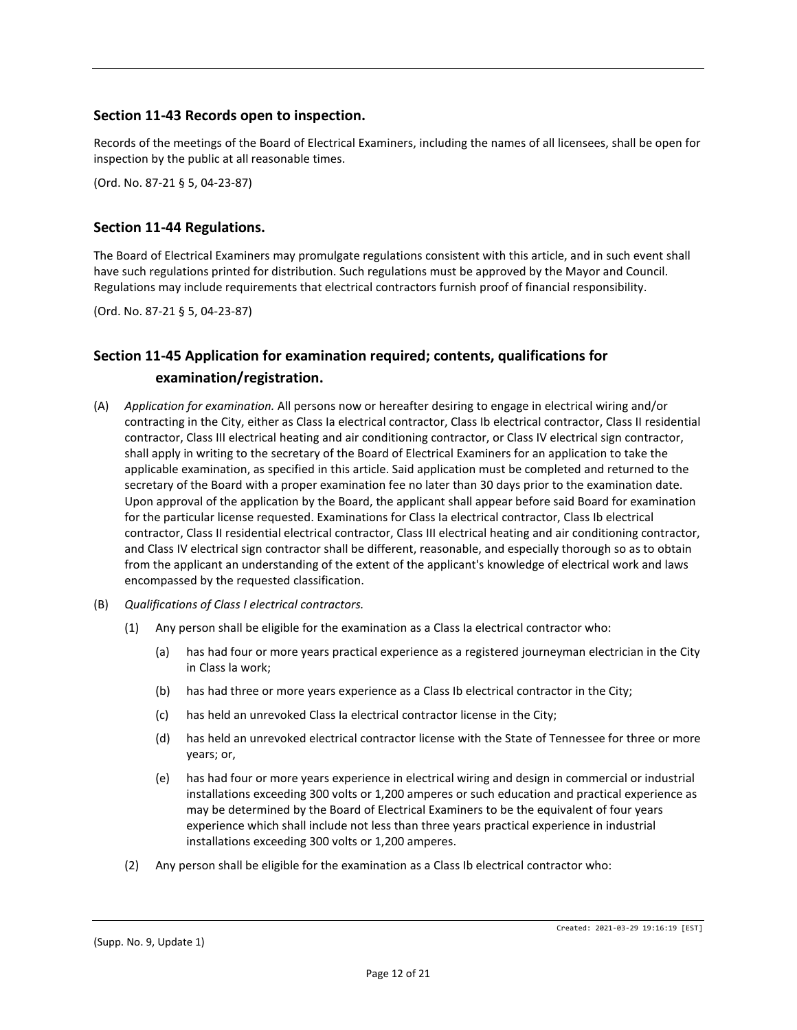## **Section 11-43 Records open to inspection.**

Records of the meetings of the Board of Electrical Examiners, including the names of all licensees, shall be open for inspection by the public at all reasonable times.

(Ord. No. 87-21 § 5, 04-23-87)

## **Section 11-44 Regulations.**

The Board of Electrical Examiners may promulgate regulations consistent with this article, and in such event shall have such regulations printed for distribution. Such regulations must be approved by the Mayor and Council. Regulations may include requirements that electrical contractors furnish proof of financial responsibility.

(Ord. No. 87-21 § 5, 04-23-87)

# **Section 11-45 Application for examination required; contents, qualifications for examination/registration.**

- (A) *Application for examination.* All persons now or hereafter desiring to engage in electrical wiring and/or contracting in the City, either as Class Ia electrical contractor, Class Ib electrical contractor, Class II residential contractor, Class III electrical heating and air conditioning contractor, or Class IV electrical sign contractor, shall apply in writing to the secretary of the Board of Electrical Examiners for an application to take the applicable examination, as specified in this article. Said application must be completed and returned to the secretary of the Board with a proper examination fee no later than 30 days prior to the examination date. Upon approval of the application by the Board, the applicant shall appear before said Board for examination for the particular license requested. Examinations for Class Ia electrical contractor, Class Ib electrical contractor, Class II residential electrical contractor, Class III electrical heating and air conditioning contractor, and Class IV electrical sign contractor shall be different, reasonable, and especially thorough so as to obtain from the applicant an understanding of the extent of the applicant's knowledge of electrical work and laws encompassed by the requested classification.
- (B) *Qualifications of Class I electrical contractors.*
	- (1) Any person shall be eligible for the examination as a Class Ia electrical contractor who:
		- (a) has had four or more years practical experience as a registered journeyman electrician in the City in Class la work;
		- (b) has had three or more years experience as a Class Ib electrical contractor in the City;
		- (c) has held an unrevoked Class Ia electrical contractor license in the City;
		- (d) has held an unrevoked electrical contractor license with the State of Tennessee for three or more years; or,
		- (e) has had four or more years experience in electrical wiring and design in commercial or industrial installations exceeding 300 volts or 1,200 amperes or such education and practical experience as may be determined by the Board of Electrical Examiners to be the equivalent of four years experience which shall include not less than three years practical experience in industrial installations exceeding 300 volts or 1,200 amperes.
	- (2) Any person shall be eligible for the examination as a Class Ib electrical contractor who: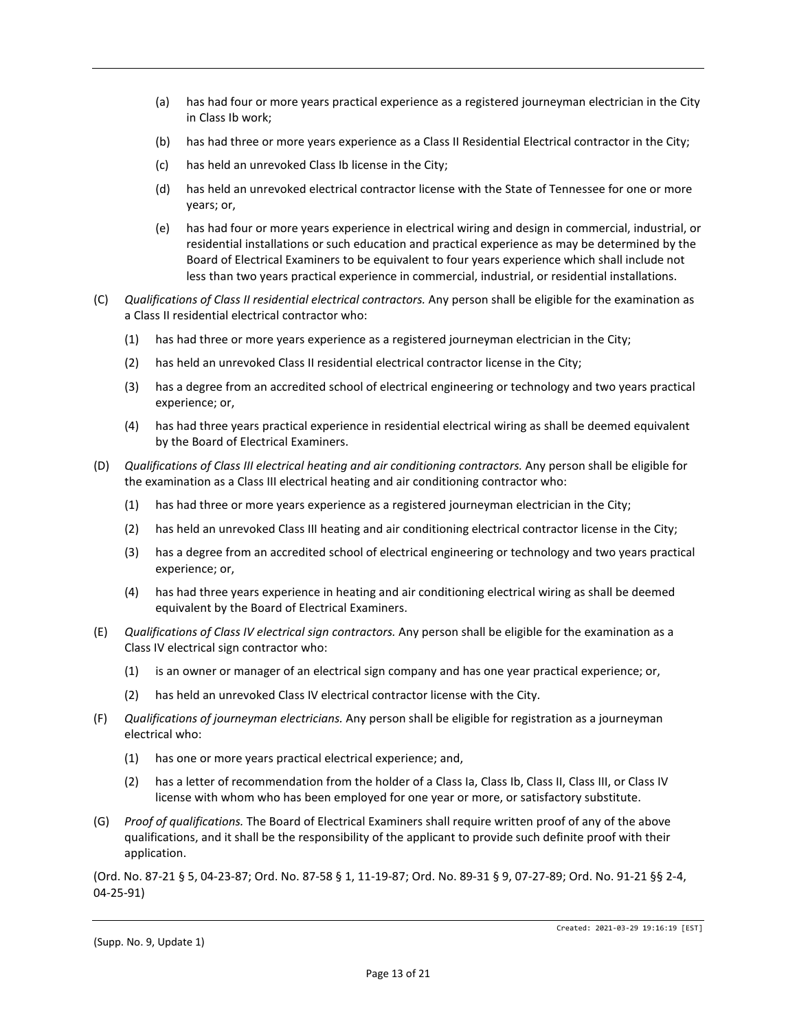- (a) has had four or more years practical experience as a registered journeyman electrician in the City in Class Ib work;
- (b) has had three or more years experience as a Class II Residential Electrical contractor in the City;
- (c) has held an unrevoked Class Ib license in the City;
- (d) has held an unrevoked electrical contractor license with the State of Tennessee for one or more years; or,
- (e) has had four or more years experience in electrical wiring and design in commercial, industrial, or residential installations or such education and practical experience as may be determined by the Board of Electrical Examiners to be equivalent to four years experience which shall include not less than two years practical experience in commercial, industrial, or residential installations.
- (C) *Qualifications of Class II residential electrical contractors.* Any person shall be eligible for the examination as a Class II residential electrical contractor who:
	- (1) has had three or more years experience as a registered journeyman electrician in the City;
	- (2) has held an unrevoked Class II residential electrical contractor license in the City;
	- (3) has a degree from an accredited school of electrical engineering or technology and two years practical experience; or,
	- (4) has had three years practical experience in residential electrical wiring as shall be deemed equivalent by the Board of Electrical Examiners.
- (D) *Qualifications of Class III electrical heating and air conditioning contractors.* Any person shall be eligible for the examination as a Class III electrical heating and air conditioning contractor who:
	- (1) has had three or more years experience as a registered journeyman electrician in the City;
	- (2) has held an unrevoked Class III heating and air conditioning electrical contractor license in the City;
	- (3) has a degree from an accredited school of electrical engineering or technology and two years practical experience; or,
	- (4) has had three years experience in heating and air conditioning electrical wiring as shall be deemed equivalent by the Board of Electrical Examiners.
- (E) *Qualifications of Class IV electrical sign contractors.* Any person shall be eligible for the examination as a Class IV electrical sign contractor who:
	- (1) is an owner or manager of an electrical sign company and has one year practical experience; or,
	- (2) has held an unrevoked Class IV electrical contractor license with the City.
- (F) *Qualifications of journeyman electricians.* Any person shall be eligible for registration as a journeyman electrical who:
	- (1) has one or more years practical electrical experience; and,
	- (2) has a letter of recommendation from the holder of a Class Ia, Class Ib, Class II, Class III, or Class IV license with whom who has been employed for one year or more, or satisfactory substitute.
- (G) *Proof of qualifications.* The Board of Electrical Examiners shall require written proof of any of the above qualifications, and it shall be the responsibility of the applicant to provide such definite proof with their application.

(Ord. No. 87-21 § 5, 04-23-87; Ord. No. 87-58 § 1, 11-19-87; Ord. No. 89-31 § 9, 07-27-89; Ord. No. 91-21 §§ 2-4, 04-25-91)

<sup>(</sup>Supp. No. 9, Update 1)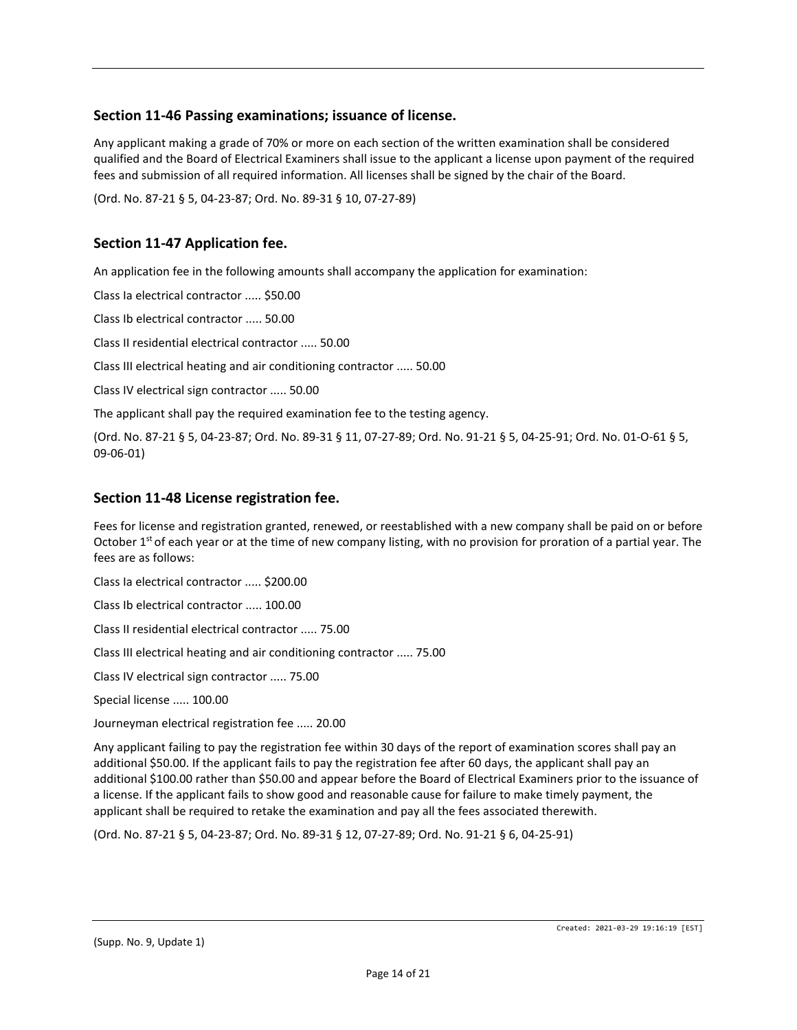## **Section 11-46 Passing examinations; issuance of license.**

Any applicant making a grade of 70% or more on each section of the written examination shall be considered qualified and the Board of Electrical Examiners shall issue to the applicant a license upon payment of the required fees and submission of all required information. All licenses shall be signed by the chair of the Board.

(Ord. No. 87-21 § 5, 04-23-87; Ord. No. 89-31 § 10, 07-27-89)

## **Section 11-47 Application fee.**

An application fee in the following amounts shall accompany the application for examination:

Class Ia electrical contractor ..... \$50.00

Class Ib electrical contractor ..... 50.00

Class II residential electrical contractor ..... 50.00

Class III electrical heating and air conditioning contractor ..... 50.00

Class IV electrical sign contractor ..... 50.00

The applicant shall pay the required examination fee to the testing agency.

(Ord. No. 87-21 § 5, 04-23-87; Ord. No. 89-31 § 11, 07-27-89; Ord. No. 91-21 § 5, 04-25-91; Ord. No. 01-O-61 § 5, 09-06-01)

#### **Section 11-48 License registration fee.**

Fees for license and registration granted, renewed, or reestablished with a new company shall be paid on or before October 1<sup>st</sup> of each year or at the time of new company listing, with no provision for proration of a partial year. The fees are as follows:

Class Ia electrical contractor ..... \$200.00

Class Ib electrical contractor ..... 100.00

Class II residential electrical contractor ..... 75.00

Class III electrical heating and air conditioning contractor ..... 75.00

Class IV electrical sign contractor ..... 75.00

Special license ..... 100.00

Journeyman electrical registration fee ..... 20.00

Any applicant failing to pay the registration fee within 30 days of the report of examination scores shall pay an additional \$50.00. If the applicant fails to pay the registration fee after 60 days, the applicant shall pay an additional \$100.00 rather than \$50.00 and appear before the Board of Electrical Examiners prior to the issuance of a license. If the applicant fails to show good and reasonable cause for failure to make timely payment, the applicant shall be required to retake the examination and pay all the fees associated therewith.

(Ord. No. 87-21 § 5, 04-23-87; Ord. No. 89-31 § 12, 07-27-89; Ord. No. 91-21 § 6, 04-25-91)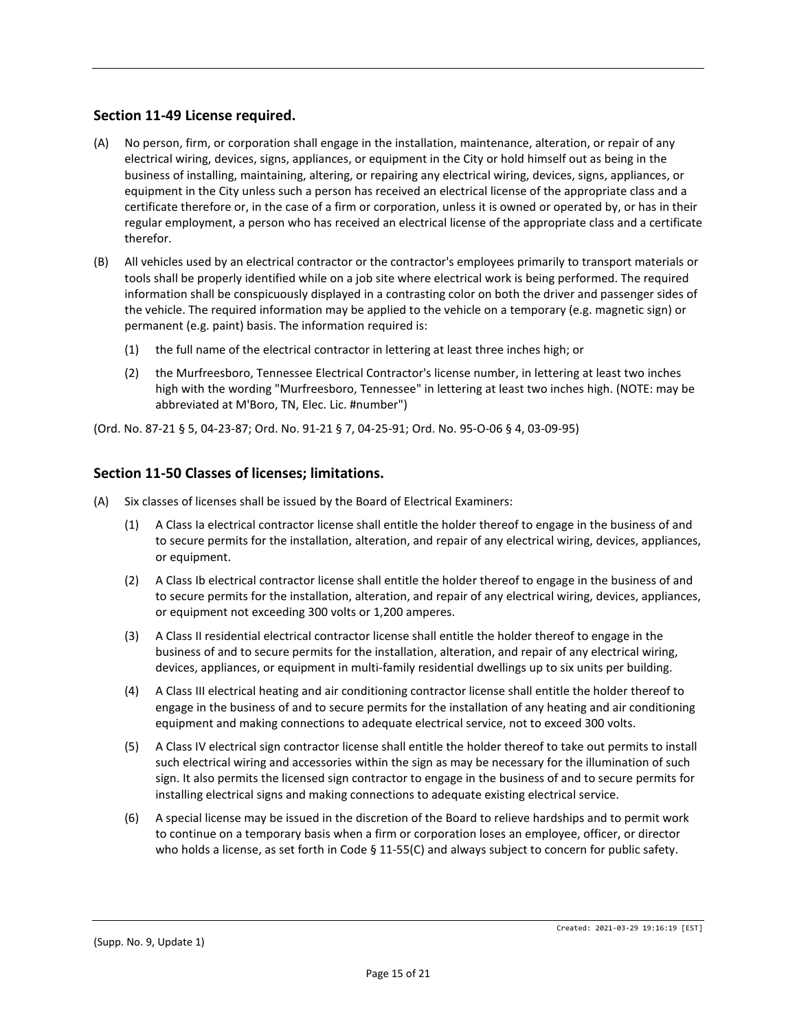# **Section 11-49 License required.**

- (A) No person, firm, or corporation shall engage in the installation, maintenance, alteration, or repair of any electrical wiring, devices, signs, appliances, or equipment in the City or hold himself out as being in the business of installing, maintaining, altering, or repairing any electrical wiring, devices, signs, appliances, or equipment in the City unless such a person has received an electrical license of the appropriate class and a certificate therefore or, in the case of a firm or corporation, unless it is owned or operated by, or has in their regular employment, a person who has received an electrical license of the appropriate class and a certificate therefor.
- (B) All vehicles used by an electrical contractor or the contractor's employees primarily to transport materials or tools shall be properly identified while on a job site where electrical work is being performed. The required information shall be conspicuously displayed in a contrasting color on both the driver and passenger sides of the vehicle. The required information may be applied to the vehicle on a temporary (e.g. magnetic sign) or permanent (e.g. paint) basis. The information required is:
	- (1) the full name of the electrical contractor in lettering at least three inches high; or
	- (2) the Murfreesboro, Tennessee Electrical Contractor's license number, in lettering at least two inches high with the wording "Murfreesboro, Tennessee" in lettering at least two inches high. (NOTE: may be abbreviated at M'Boro, TN, Elec. Lic. #number")

(Ord. No. 87-21 § 5, 04-23-87; Ord. No. 91-21 § 7, 04-25-91; Ord. No. 95-O-06 § 4, 03-09-95)

#### **Section 11-50 Classes of licenses; limitations.**

- (A) Six classes of licenses shall be issued by the Board of Electrical Examiners:
	- (1) A Class Ia electrical contractor license shall entitle the holder thereof to engage in the business of and to secure permits for the installation, alteration, and repair of any electrical wiring, devices, appliances, or equipment.
	- (2) A Class Ib electrical contractor license shall entitle the holder thereof to engage in the business of and to secure permits for the installation, alteration, and repair of any electrical wiring, devices, appliances, or equipment not exceeding 300 volts or 1,200 amperes.
	- (3) A Class II residential electrical contractor license shall entitle the holder thereof to engage in the business of and to secure permits for the installation, alteration, and repair of any electrical wiring, devices, appliances, or equipment in multi-family residential dwellings up to six units per building.
	- (4) A Class III electrical heating and air conditioning contractor license shall entitle the holder thereof to engage in the business of and to secure permits for the installation of any heating and air conditioning equipment and making connections to adequate electrical service, not to exceed 300 volts.
	- (5) A Class IV electrical sign contractor license shall entitle the holder thereof to take out permits to install such electrical wiring and accessories within the sign as may be necessary for the illumination of such sign. It also permits the licensed sign contractor to engage in the business of and to secure permits for installing electrical signs and making connections to adequate existing electrical service.
	- (6) A special license may be issued in the discretion of the Board to relieve hardships and to permit work to continue on a temporary basis when a firm or corporation loses an employee, officer, or director who holds a license, as set forth in Code § 11-55(C) and always subject to concern for public safety.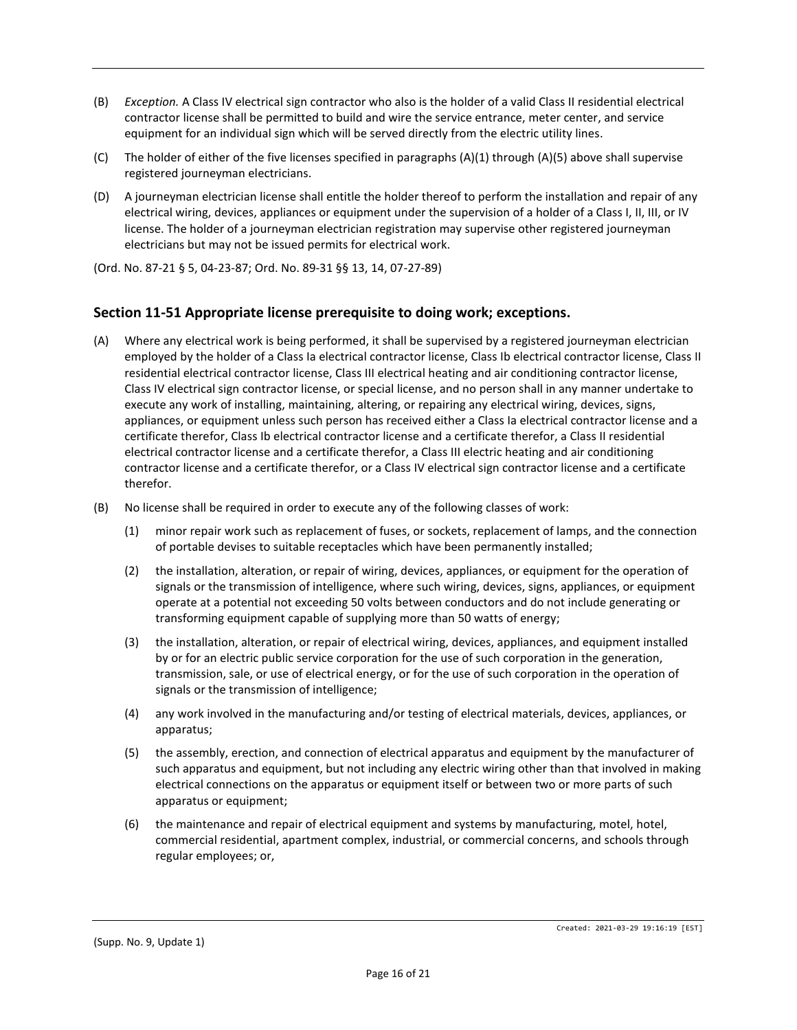- (B) *Exception.* A Class IV electrical sign contractor who also is the holder of a valid Class II residential electrical contractor license shall be permitted to build and wire the service entrance, meter center, and service equipment for an individual sign which will be served directly from the electric utility lines.
- (C) The holder of either of the five licenses specified in paragraphs (A)(1) through (A)(5) above shall supervise registered journeyman electricians.
- (D) A journeyman electrician license shall entitle the holder thereof to perform the installation and repair of any electrical wiring, devices, appliances or equipment under the supervision of a holder of a Class I, II, III, or IV license. The holder of a journeyman electrician registration may supervise other registered journeyman electricians but may not be issued permits for electrical work.

(Ord. No. 87-21 § 5, 04-23-87; Ord. No. 89-31 §§ 13, 14, 07-27-89)

#### **Section 11-51 Appropriate license prerequisite to doing work; exceptions.**

- (A) Where any electrical work is being performed, it shall be supervised by a registered journeyman electrician employed by the holder of a Class Ia electrical contractor license, Class Ib electrical contractor license, Class II residential electrical contractor license, Class III electrical heating and air conditioning contractor license, Class IV electrical sign contractor license, or special license, and no person shall in any manner undertake to execute any work of installing, maintaining, altering, or repairing any electrical wiring, devices, signs, appliances, or equipment unless such person has received either a Class Ia electrical contractor license and a certificate therefor, Class Ib electrical contractor license and a certificate therefor, a Class II residential electrical contractor license and a certificate therefor, a Class III electric heating and air conditioning contractor license and a certificate therefor, or a Class IV electrical sign contractor license and a certificate therefor.
- (B) No license shall be required in order to execute any of the following classes of work:
	- (1) minor repair work such as replacement of fuses, or sockets, replacement of lamps, and the connection of portable devises to suitable receptacles which have been permanently installed;
	- (2) the installation, alteration, or repair of wiring, devices, appliances, or equipment for the operation of signals or the transmission of intelligence, where such wiring, devices, signs, appliances, or equipment operate at a potential not exceeding 50 volts between conductors and do not include generating or transforming equipment capable of supplying more than 50 watts of energy;
	- (3) the installation, alteration, or repair of electrical wiring, devices, appliances, and equipment installed by or for an electric public service corporation for the use of such corporation in the generation, transmission, sale, or use of electrical energy, or for the use of such corporation in the operation of signals or the transmission of intelligence;
	- (4) any work involved in the manufacturing and/or testing of electrical materials, devices, appliances, or apparatus;
	- (5) the assembly, erection, and connection of electrical apparatus and equipment by the manufacturer of such apparatus and equipment, but not including any electric wiring other than that involved in making electrical connections on the apparatus or equipment itself or between two or more parts of such apparatus or equipment;
	- (6) the maintenance and repair of electrical equipment and systems by manufacturing, motel, hotel, commercial residential, apartment complex, industrial, or commercial concerns, and schools through regular employees; or,

Created: 2021-03-29 19:16:19 [EST]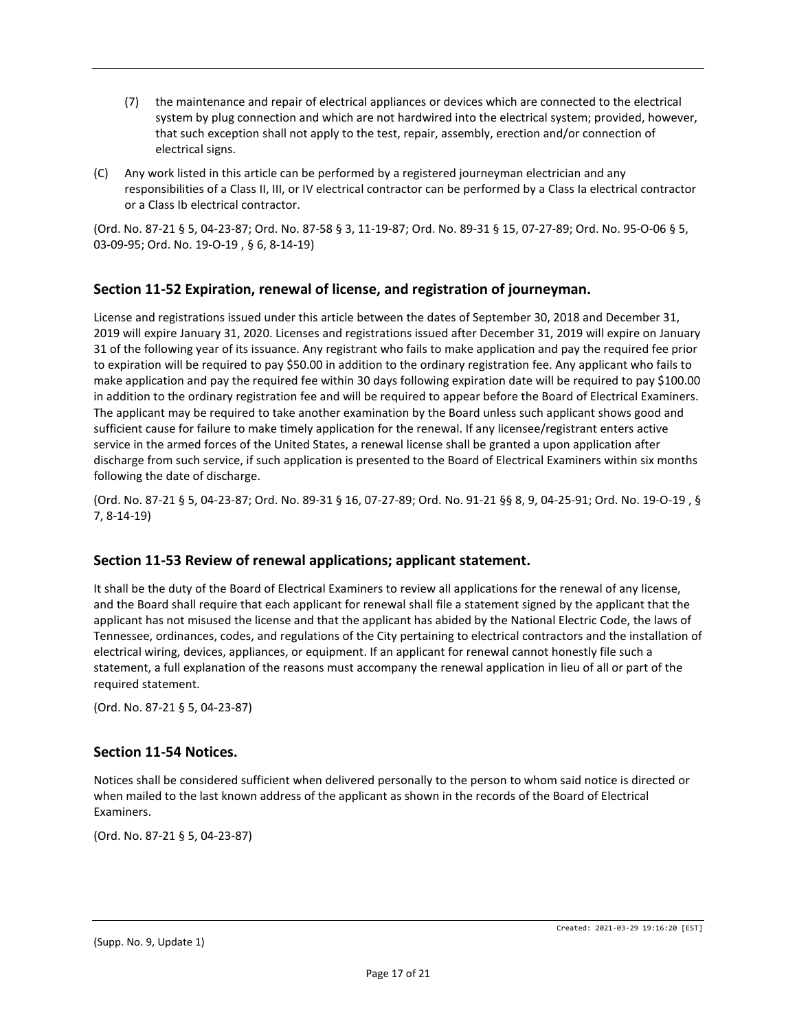- (7) the maintenance and repair of electrical appliances or devices which are connected to the electrical system by plug connection and which are not hardwired into the electrical system; provided, however, that such exception shall not apply to the test, repair, assembly, erection and/or connection of electrical signs.
- (C) Any work listed in this article can be performed by a registered journeyman electrician and any responsibilities of a Class II, III, or IV electrical contractor can be performed by a Class Ia electrical contractor or a Class Ib electrical contractor.

(Ord. No. 87-21 § 5, 04-23-87; Ord. No. 87-58 § 3, 11-19-87; Ord. No. 89-31 § 15, 07-27-89; Ord. No. 95-O-06 § 5, 03-09-95; Ord. No. 19-O-19 , § 6, 8-14-19)

# **Section 11-52 Expiration, renewal of license, and registration of journeyman.**

License and registrations issued under this article between the dates of September 30, 2018 and December 31, 2019 will expire January 31, 2020. Licenses and registrations issued after December 31, 2019 will expire on January 31 of the following year of its issuance. Any registrant who fails to make application and pay the required fee prior to expiration will be required to pay \$50.00 in addition to the ordinary registration fee. Any applicant who fails to make application and pay the required fee within 30 days following expiration date will be required to pay \$100.00 in addition to the ordinary registration fee and will be required to appear before the Board of Electrical Examiners. The applicant may be required to take another examination by the Board unless such applicant shows good and sufficient cause for failure to make timely application for the renewal. If any licensee/registrant enters active service in the armed forces of the United States, a renewal license shall be granted a upon application after discharge from such service, if such application is presented to the Board of Electrical Examiners within six months following the date of discharge.

(Ord. No. 87-21 § 5, 04-23-87; Ord. No. 89-31 § 16, 07-27-89; Ord. No. 91-21 §§ 8, 9, 04-25-91; Ord. No. 19-O-19 , § 7, 8-14-19)

#### **Section 11-53 Review of renewal applications; applicant statement.**

It shall be the duty of the Board of Electrical Examiners to review all applications for the renewal of any license, and the Board shall require that each applicant for renewal shall file a statement signed by the applicant that the applicant has not misused the license and that the applicant has abided by the National Electric Code, the laws of Tennessee, ordinances, codes, and regulations of the City pertaining to electrical contractors and the installation of electrical wiring, devices, appliances, or equipment. If an applicant for renewal cannot honestly file such a statement, a full explanation of the reasons must accompany the renewal application in lieu of all or part of the required statement.

(Ord. No. 87-21 § 5, 04-23-87)

#### **Section 11-54 Notices.**

Notices shall be considered sufficient when delivered personally to the person to whom said notice is directed or when mailed to the last known address of the applicant as shown in the records of the Board of Electrical Examiners.

(Ord. No. 87-21 § 5, 04-23-87)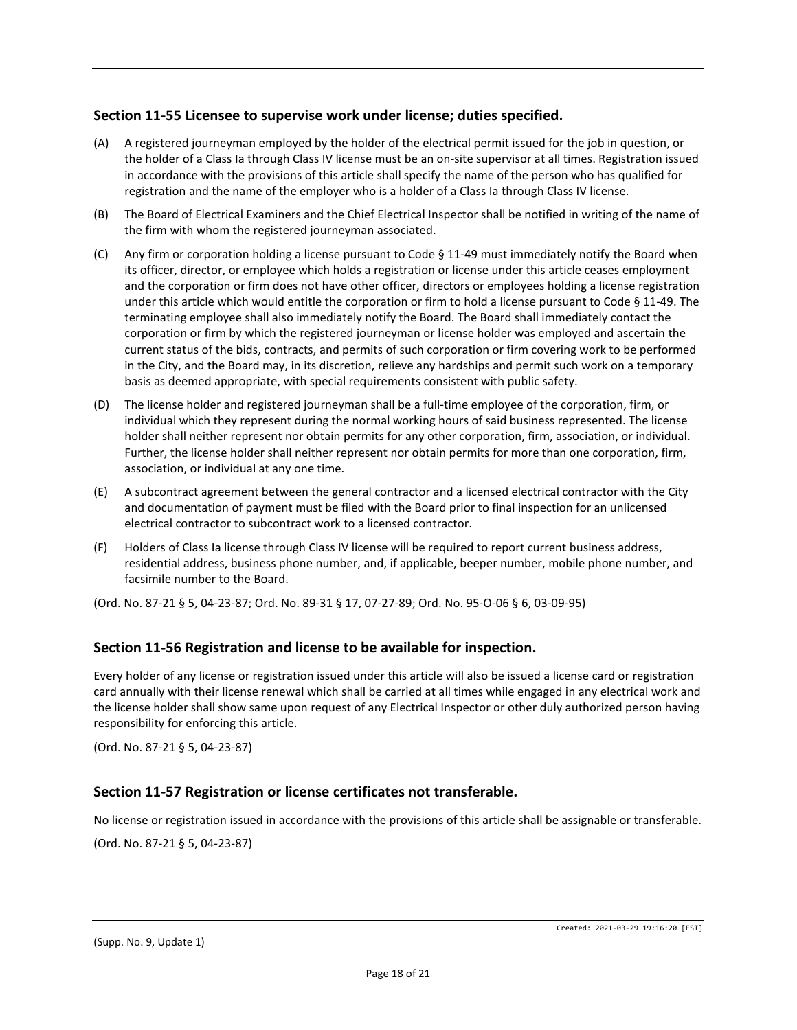# **Section 11-55 Licensee to supervise work under license; duties specified.**

- (A) A registered journeyman employed by the holder of the electrical permit issued for the job in question, or the holder of a Class Ia through Class IV license must be an on-site supervisor at all times. Registration issued in accordance with the provisions of this article shall specify the name of the person who has qualified for registration and the name of the employer who is a holder of a Class Ia through Class IV license.
- (B) The Board of Electrical Examiners and the Chief Electrical Inspector shall be notified in writing of the name of the firm with whom the registered journeyman associated.
- (C) Any firm or corporation holding a license pursuant to Code  $\S$  11-49 must immediately notify the Board when its officer, director, or employee which holds a registration or license under this article ceases employment and the corporation or firm does not have other officer, directors or employees holding a license registration under this article which would entitle the corporation or firm to hold a license pursuant to Code § 11-49. The terminating employee shall also immediately notify the Board. The Board shall immediately contact the corporation or firm by which the registered journeyman or license holder was employed and ascertain the current status of the bids, contracts, and permits of such corporation or firm covering work to be performed in the City, and the Board may, in its discretion, relieve any hardships and permit such work on a temporary basis as deemed appropriate, with special requirements consistent with public safety.
- (D) The license holder and registered journeyman shall be a full-time employee of the corporation, firm, or individual which they represent during the normal working hours of said business represented. The license holder shall neither represent nor obtain permits for any other corporation, firm, association, or individual. Further, the license holder shall neither represent nor obtain permits for more than one corporation, firm, association, or individual at any one time.
- (E) A subcontract agreement between the general contractor and a licensed electrical contractor with the City and documentation of payment must be filed with the Board prior to final inspection for an unlicensed electrical contractor to subcontract work to a licensed contractor.
- (F) Holders of Class Ia license through Class IV license will be required to report current business address, residential address, business phone number, and, if applicable, beeper number, mobile phone number, and facsimile number to the Board.

(Ord. No. 87-21 § 5, 04-23-87; Ord. No. 89-31 § 17, 07-27-89; Ord. No. 95-O-06 § 6, 03-09-95)

#### **Section 11-56 Registration and license to be available for inspection.**

Every holder of any license or registration issued under this article will also be issued a license card or registration card annually with their license renewal which shall be carried at all times while engaged in any electrical work and the license holder shall show same upon request of any Electrical Inspector or other duly authorized person having responsibility for enforcing this article.

(Ord. No. 87-21 § 5, 04-23-87)

#### **Section 11-57 Registration or license certificates not transferable.**

No license or registration issued in accordance with the provisions of this article shall be assignable or transferable.

(Ord. No. 87-21 § 5, 04-23-87)

Created: 2021-03-29 19:16:20 [EST]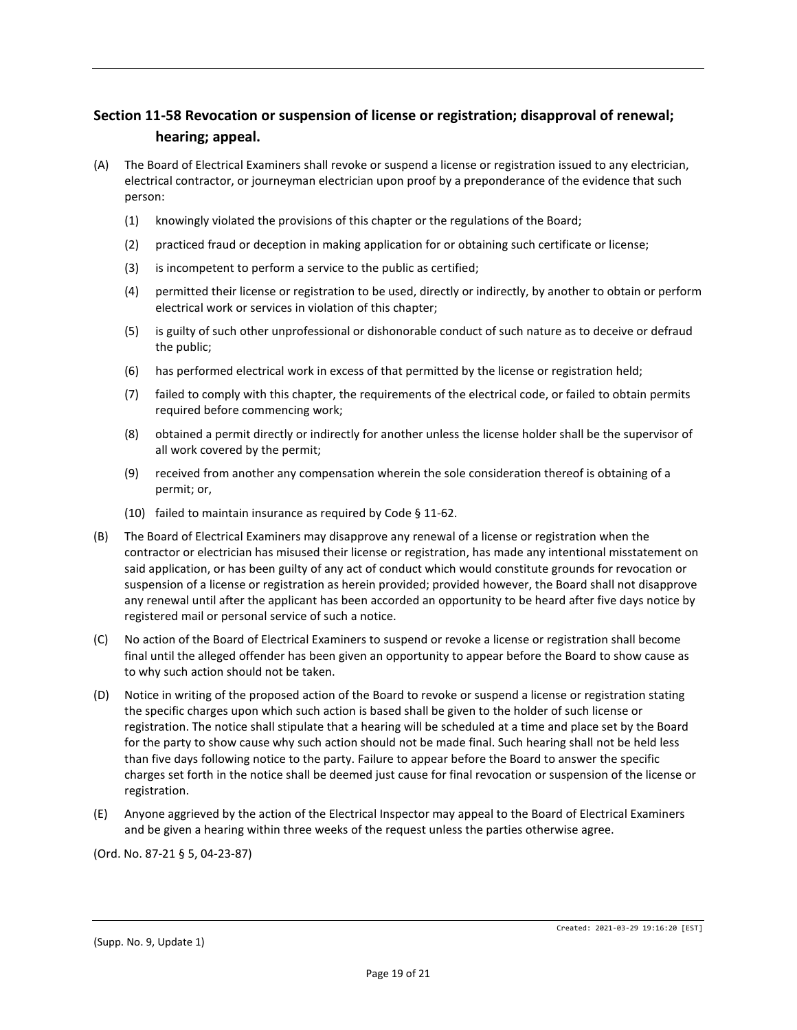# **Section 11-58 Revocation or suspension of license or registration; disapproval of renewal; hearing; appeal.**

- (A) The Board of Electrical Examiners shall revoke or suspend a license or registration issued to any electrician, electrical contractor, or journeyman electrician upon proof by a preponderance of the evidence that such person:
	- (1) knowingly violated the provisions of this chapter or the regulations of the Board;
	- (2) practiced fraud or deception in making application for or obtaining such certificate or license;
	- (3) is incompetent to perform a service to the public as certified;
	- (4) permitted their license or registration to be used, directly or indirectly, by another to obtain or perform electrical work or services in violation of this chapter;
	- (5) is guilty of such other unprofessional or dishonorable conduct of such nature as to deceive or defraud the public;
	- (6) has performed electrical work in excess of that permitted by the license or registration held;
	- (7) failed to comply with this chapter, the requirements of the electrical code, or failed to obtain permits required before commencing work;
	- (8) obtained a permit directly or indirectly for another unless the license holder shall be the supervisor of all work covered by the permit;
	- (9) received from another any compensation wherein the sole consideration thereof is obtaining of a permit; or,
	- (10) failed to maintain insurance as required by Code § 11-62.
- (B) The Board of Electrical Examiners may disapprove any renewal of a license or registration when the contractor or electrician has misused their license or registration, has made any intentional misstatement on said application, or has been guilty of any act of conduct which would constitute grounds for revocation or suspension of a license or registration as herein provided; provided however, the Board shall not disapprove any renewal until after the applicant has been accorded an opportunity to be heard after five days notice by registered mail or personal service of such a notice.
- (C) No action of the Board of Electrical Examiners to suspend or revoke a license or registration shall become final until the alleged offender has been given an opportunity to appear before the Board to show cause as to why such action should not be taken.
- (D) Notice in writing of the proposed action of the Board to revoke or suspend a license or registration stating the specific charges upon which such action is based shall be given to the holder of such license or registration. The notice shall stipulate that a hearing will be scheduled at a time and place set by the Board for the party to show cause why such action should not be made final. Such hearing shall not be held less than five days following notice to the party. Failure to appear before the Board to answer the specific charges set forth in the notice shall be deemed just cause for final revocation or suspension of the license or registration.
- (E) Anyone aggrieved by the action of the Electrical Inspector may appeal to the Board of Electrical Examiners and be given a hearing within three weeks of the request unless the parties otherwise agree.

(Ord. No. 87-21 § 5, 04-23-87)

Created: 2021-03-29 19:16:20 [EST]

<sup>(</sup>Supp. No. 9, Update 1)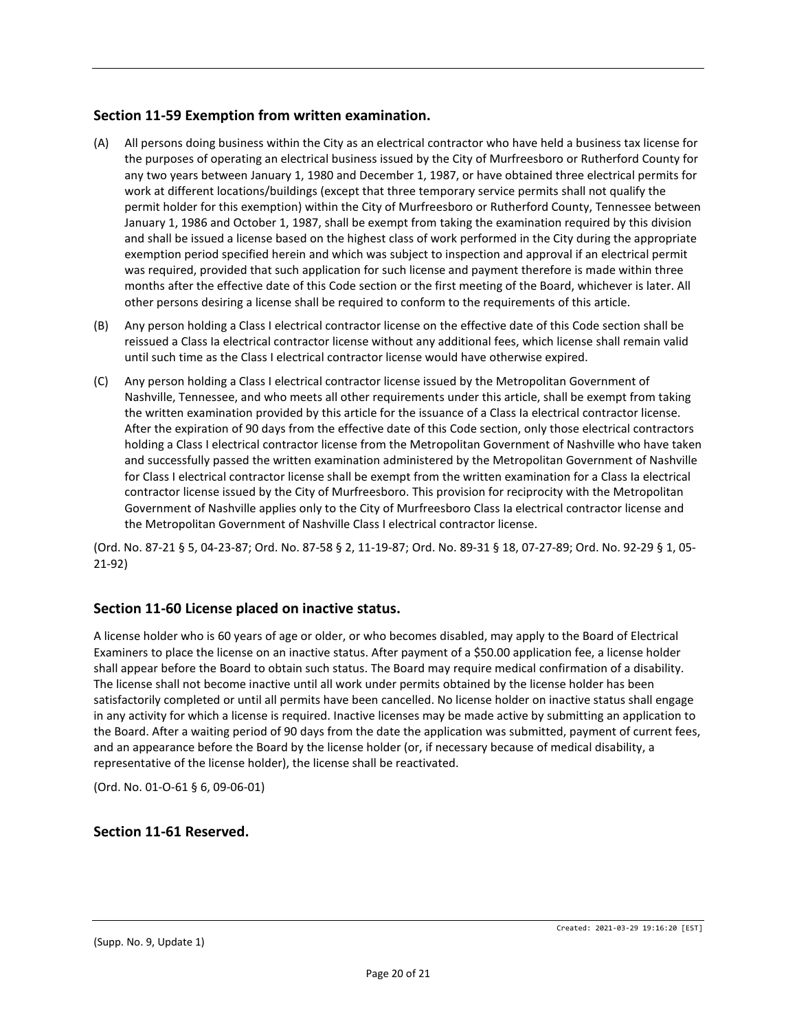# **Section 11-59 Exemption from written examination.**

- (A) All persons doing business within the City as an electrical contractor who have held a business tax license for the purposes of operating an electrical business issued by the City of Murfreesboro or Rutherford County for any two years between January 1, 1980 and December 1, 1987, or have obtained three electrical permits for work at different locations/buildings (except that three temporary service permits shall not qualify the permit holder for this exemption) within the City of Murfreesboro or Rutherford County, Tennessee between January 1, 1986 and October 1, 1987, shall be exempt from taking the examination required by this division and shall be issued a license based on the highest class of work performed in the City during the appropriate exemption period specified herein and which was subject to inspection and approval if an electrical permit was required, provided that such application for such license and payment therefore is made within three months after the effective date of this Code section or the first meeting of the Board, whichever is later. All other persons desiring a license shall be required to conform to the requirements of this article.
- (B) Any person holding a Class I electrical contractor license on the effective date of this Code section shall be reissued a Class Ia electrical contractor license without any additional fees, which license shall remain valid until such time as the Class I electrical contractor license would have otherwise expired.
- (C) Any person holding a Class I electrical contractor license issued by the Metropolitan Government of Nashville, Tennessee, and who meets all other requirements under this article, shall be exempt from taking the written examination provided by this article for the issuance of a Class Ia electrical contractor license. After the expiration of 90 days from the effective date of this Code section, only those electrical contractors holding a Class I electrical contractor license from the Metropolitan Government of Nashville who have taken and successfully passed the written examination administered by the Metropolitan Government of Nashville for Class I electrical contractor license shall be exempt from the written examination for a Class Ia electrical contractor license issued by the City of Murfreesboro. This provision for reciprocity with the Metropolitan Government of Nashville applies only to the City of Murfreesboro Class Ia electrical contractor license and the Metropolitan Government of Nashville Class I electrical contractor license.

(Ord. No. 87-21 § 5, 04-23-87; Ord. No. 87-58 § 2, 11-19-87; Ord. No. 89-31 § 18, 07-27-89; Ord. No. 92-29 § 1, 05- 21-92)

# **Section 11-60 License placed on inactive status.**

A license holder who is 60 years of age or older, or who becomes disabled, may apply to the Board of Electrical Examiners to place the license on an inactive status. After payment of a \$50.00 application fee, a license holder shall appear before the Board to obtain such status. The Board may require medical confirmation of a disability. The license shall not become inactive until all work under permits obtained by the license holder has been satisfactorily completed or until all permits have been cancelled. No license holder on inactive status shall engage in any activity for which a license is required. Inactive licenses may be made active by submitting an application to the Board. After a waiting period of 90 days from the date the application was submitted, payment of current fees, and an appearance before the Board by the license holder (or, if necessary because of medical disability, a representative of the license holder), the license shall be reactivated.

(Ord. No. 01-O-61 § 6, 09-06-01)

#### **Section 11-61 Reserved.**